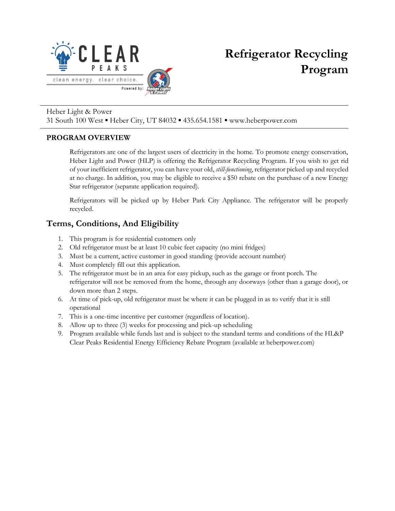

# **Refrigerator Recycling Program**

#### Heber Light & Power

31 South 100 West ▪ Heber City, UT 84032 ▪ 435.654.1581 ▪ www.heberpower.com

#### **PROGRAM OVERVIEW**

Refrigerators are one of the largest users of electricity in the home. To promote energy conservation, Heber Light and Power (HLP) is offering the Refrigerator Recycling Program. If you wish to get rid of your inefficient refrigerator, you can have your old, *still-functioning*, refrigerator picked up and recycled at no charge. In addition, you may be eligible to receive a \$50 rebate on the purchase of a new Energy Star refrigerator (separate application required).

Refrigerators will be picked up by Heber Park City Appliance. The refrigerator will be properly recycled.

## **Terms, Conditions, And Eligibility**

- 1. This program is for residential customers only
- 2. Old refrigerator must be at least 10 cubic feet capacity (no mini fridges)
- 3. Must be a current, active customer in good standing (provide account number)
- 4. Must completely fill out this application.
- 5. The refrigerator must be in an area for easy pickup, such as the garage or front porch. The refrigerator will not be removed from the home, through any doorways (other than a garage door), or down more than 2 steps.
- 6. At time of pick-up, old refrigerator must be where it can be plugged in as to verify that it is still operational
- 7. This is a one-time incentive per customer (regardless of location).
- 8. Allow up to three (3) weeks for processing and pick-up scheduling
- 9. Program available while funds last and is subject to the standard terms and conditions of the HL&P Clear Peaks Residential Energy Efficiency Rebate Program (available at heberpower.com)